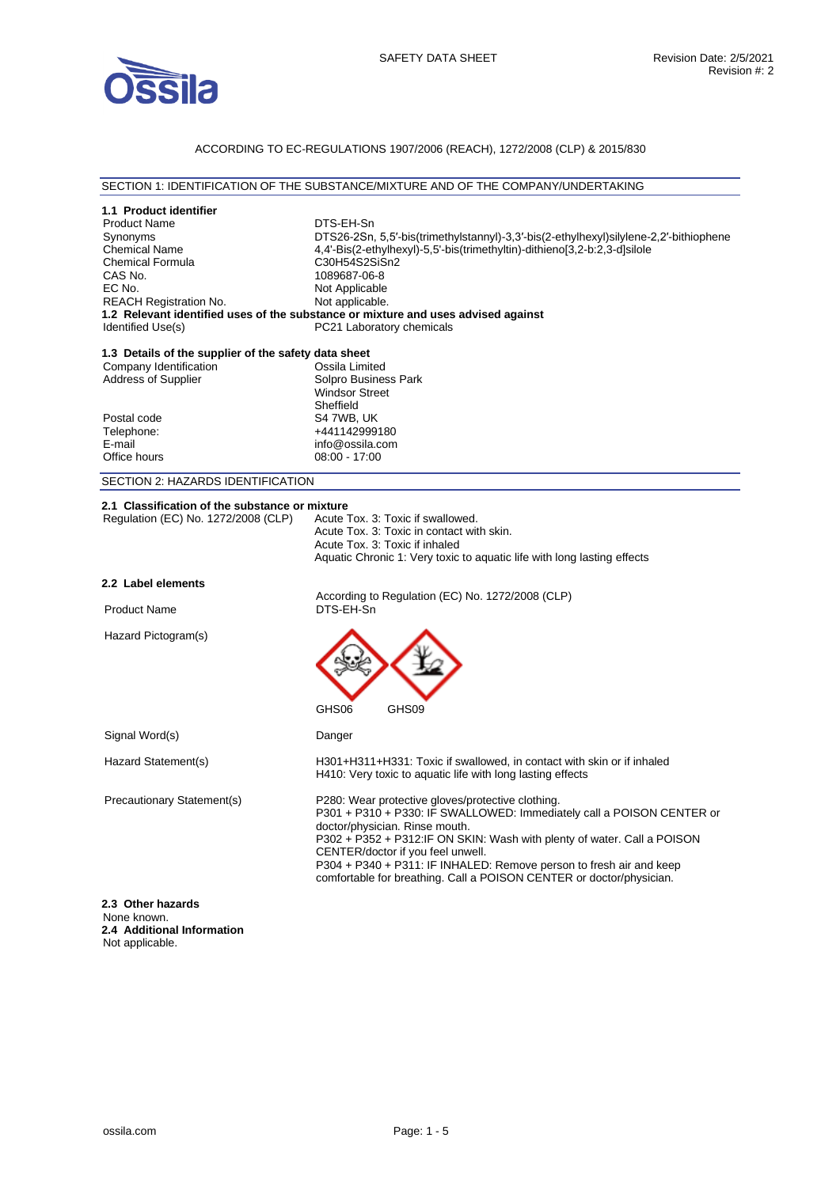

# ACCORDING TO EC-REGULATIONS 1907/2006 (REACH), 1272/2008 (CLP) & 2015/830

#### SECTION 1: IDENTIFICATION OF THE SUBSTANCE/MIXTURE AND OF THE COMPANY/UNDERTAKING

| 1.1 Product identifier                                                            |                                                                                                                                                                                                                                                                                                                                                                                                                             |
|-----------------------------------------------------------------------------------|-----------------------------------------------------------------------------------------------------------------------------------------------------------------------------------------------------------------------------------------------------------------------------------------------------------------------------------------------------------------------------------------------------------------------------|
| <b>Product Name</b>                                                               | DTS-EH-Sn                                                                                                                                                                                                                                                                                                                                                                                                                   |
| Synonyms                                                                          | DTS26-2Sn, 5,5'-bis(trimethylstannyl)-3,3'-bis(2-ethylhexyl)silylene-2,2'-bithiophene                                                                                                                                                                                                                                                                                                                                       |
| <b>Chemical Name</b>                                                              | 4,4'-Bis(2-ethylhexyl)-5,5'-bis(trimethyltin)-dithieno[3,2-b:2,3-d]silole                                                                                                                                                                                                                                                                                                                                                   |
| <b>Chemical Formula</b>                                                           | C30H54S2SiSn2                                                                                                                                                                                                                                                                                                                                                                                                               |
| CAS No.<br>EC No.                                                                 | 1089687-06-8                                                                                                                                                                                                                                                                                                                                                                                                                |
| <b>REACH Registration No.</b>                                                     | Not Applicable<br>Not applicable.                                                                                                                                                                                                                                                                                                                                                                                           |
|                                                                                   | 1.2 Relevant identified uses of the substance or mixture and uses advised against                                                                                                                                                                                                                                                                                                                                           |
| Identified Use(s)                                                                 | PC21 Laboratory chemicals                                                                                                                                                                                                                                                                                                                                                                                                   |
| 1.3 Details of the supplier of the safety data sheet                              |                                                                                                                                                                                                                                                                                                                                                                                                                             |
| Company Identification                                                            | Ossila Limited                                                                                                                                                                                                                                                                                                                                                                                                              |
| Address of Supplier                                                               | Solpro Business Park                                                                                                                                                                                                                                                                                                                                                                                                        |
|                                                                                   | <b>Windsor Street</b>                                                                                                                                                                                                                                                                                                                                                                                                       |
|                                                                                   | Sheffield                                                                                                                                                                                                                                                                                                                                                                                                                   |
| Postal code                                                                       | S4 7WB, UK                                                                                                                                                                                                                                                                                                                                                                                                                  |
| Telephone:                                                                        | +441142999180                                                                                                                                                                                                                                                                                                                                                                                                               |
| E-mail<br>Office hours                                                            | info@ossila.com<br>08:00 - 17:00                                                                                                                                                                                                                                                                                                                                                                                            |
|                                                                                   |                                                                                                                                                                                                                                                                                                                                                                                                                             |
| SECTION 2: HAZARDS IDENTIFICATION                                                 |                                                                                                                                                                                                                                                                                                                                                                                                                             |
| 2.1 Classification of the substance or mixture                                    |                                                                                                                                                                                                                                                                                                                                                                                                                             |
| Regulation (EC) No. 1272/2008 (CLP)                                               | Acute Tox. 3: Toxic if swallowed.                                                                                                                                                                                                                                                                                                                                                                                           |
|                                                                                   | Acute Tox. 3: Toxic in contact with skin.                                                                                                                                                                                                                                                                                                                                                                                   |
|                                                                                   | Acute Tox. 3: Toxic if inhaled                                                                                                                                                                                                                                                                                                                                                                                              |
|                                                                                   | Aquatic Chronic 1: Very toxic to aquatic life with long lasting effects                                                                                                                                                                                                                                                                                                                                                     |
| 2.2 Label elements                                                                | According to Regulation (EC) No. 1272/2008 (CLP)                                                                                                                                                                                                                                                                                                                                                                            |
| <b>Product Name</b>                                                               | DTS-EH-Sn                                                                                                                                                                                                                                                                                                                                                                                                                   |
| Hazard Pictogram(s)                                                               | GHS06<br>GHS09                                                                                                                                                                                                                                                                                                                                                                                                              |
| Signal Word(s)                                                                    | Danger                                                                                                                                                                                                                                                                                                                                                                                                                      |
| Hazard Statement(s)                                                               | H301+H311+H331: Toxic if swallowed, in contact with skin or if inhaled<br>H410: Very toxic to aquatic life with long lasting effects                                                                                                                                                                                                                                                                                        |
| Precautionary Statement(s)                                                        | P280: Wear protective gloves/protective clothing.<br>P301 + P310 + P330: IF SWALLOWED: Immediately call a POISON CENTER or<br>doctor/physician. Rinse mouth.<br>P302 + P352 + P312:IF ON SKIN: Wash with plenty of water. Call a POISON<br>CENTER/doctor if you feel unwell.<br>P304 + P340 + P311: IF INHALED: Remove person to fresh air and keep<br>comfortable for breathing. Call a POISON CENTER or doctor/physician. |
| 2.3 Other hazards<br>None known.<br>2.4 Additional Information<br>Not applicable. |                                                                                                                                                                                                                                                                                                                                                                                                                             |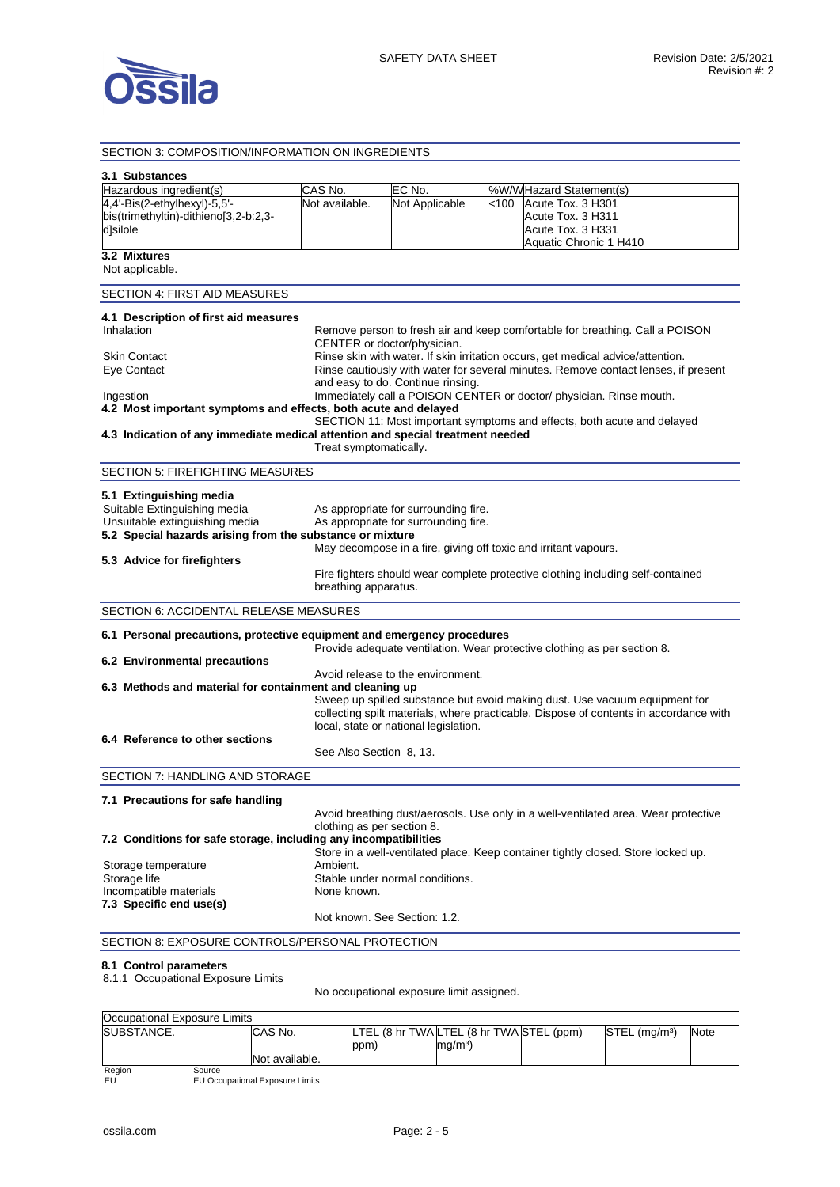

#### SECTION 3: COMPOSITION/INFORMATION ON INGREDIENTS **3.1 Substances**  Hazardous ingredient(s) CAS No. FC No. 1%W/W Hazard Statement(s) 4,4'-Bis(2-ethylhexyl)-5,5' bis(trimethyltin)-dithieno[3,2-b:2,3 d]silole Not available. Not Applicable <100 Acute Tox. 3 H301 Acute Tox. 3 H311 Acute Tox. 3 H331 Aquatic Chronic 1 H410 **3.2 Mixtures**  Not applicable. SECTION 4: FIRST AID MEASURES **4.1 Description of first aid measures**  Inhalation **Remove person to fresh air and keep comfortable for breathing. Call a POISON** CENTER or doctor/physician. Skin Contact **Rinse skin with water. If skin irritation occurs**, get medical advice/attention.<br> **Eve Contact Contact Innergy Struttent Contact Struttent Provident Contact Contact Innergy Struttent Provident** Rinse cautiously with water for several minutes. Remove contact lenses, if present and easy to do. Continue rinsing. Ingestion Immediately call a POISON CENTER or doctor/ physician. Rinse mouth. **4.2 Most important symptoms and effects, both acute and delayed**  SECTION 11: Most important symptoms and effects, both acute and delayed **4.3 Indication of any immediate medical attention and special treatment needed**  Treat symptomatically. SECTION 5: FIREFIGHTING MEASURES **5.1 Extinguishing media**  Suitable Extinguishing media As appropriate for surrounding fire. Unsuitable extinguishing media As appropriate for surrounding fire. **5.2 Special hazards arising from the substance or mixture**  May decompose in a fire, giving off toxic and irritant vapours. **5.3 Advice for firefighters**  Fire fighters should wear complete protective clothing including self-contained breathing apparatus. SECTION 6: ACCIDENTAL RELEASE MEASURES **6.1 Personal precautions, protective equipment and emergency procedures**  Provide adequate ventilation. Wear protective clothing as per section 8. **6.2 Environmental precautions**  Avoid release to the environment. **6.3 Methods and material for containment and cleaning up**  Sweep up spilled substance but avoid making dust. Use vacuum equipment for collecting spilt materials, where practicable. Dispose of contents in accordance with local, state or national legislation. **6.4 Reference to other sections**  See Also Section 8, 13. SECTION 7: HANDLING AND STORAGE **7.1 Precautions for safe handling**  Avoid breathing dust/aerosols. Use only in a well-ventilated area. Wear protective clothing as per section 8. **7.2 Conditions for safe storage, including any incompatibilities**  Store in a well-ventilated place. Keep container tightly closed. Store locked up. Storage temperature **Ambient.** Storage life Storage Internal conditions. Incompatible materials None known. **7.3 Specific end use(s)**  Not known. See Section: 1.2. SECTION 8: EXPOSURE CONTROLS/PERSONAL PROTECTION **8.1 Control parameters**

8.1.1 Occupational Exposure Limits

No occupational exposure limit assigned.

| Occupational Exposure Limits |                |     |                                          |                           |             |
|------------------------------|----------------|-----|------------------------------------------|---------------------------|-------------|
| <b>ISUBSTANCE.</b>           | CAS No.        |     | LTEL (8 hr TWA LTEL (8 hr TWA STEL (ppm) | STEL (ma/m <sup>3</sup> ) | <b>Note</b> |
|                              |                | ppm | ma/m <sup>3</sup>                        |                           |             |
|                              | Not available. |     |                                          |                           |             |

Region<br>EU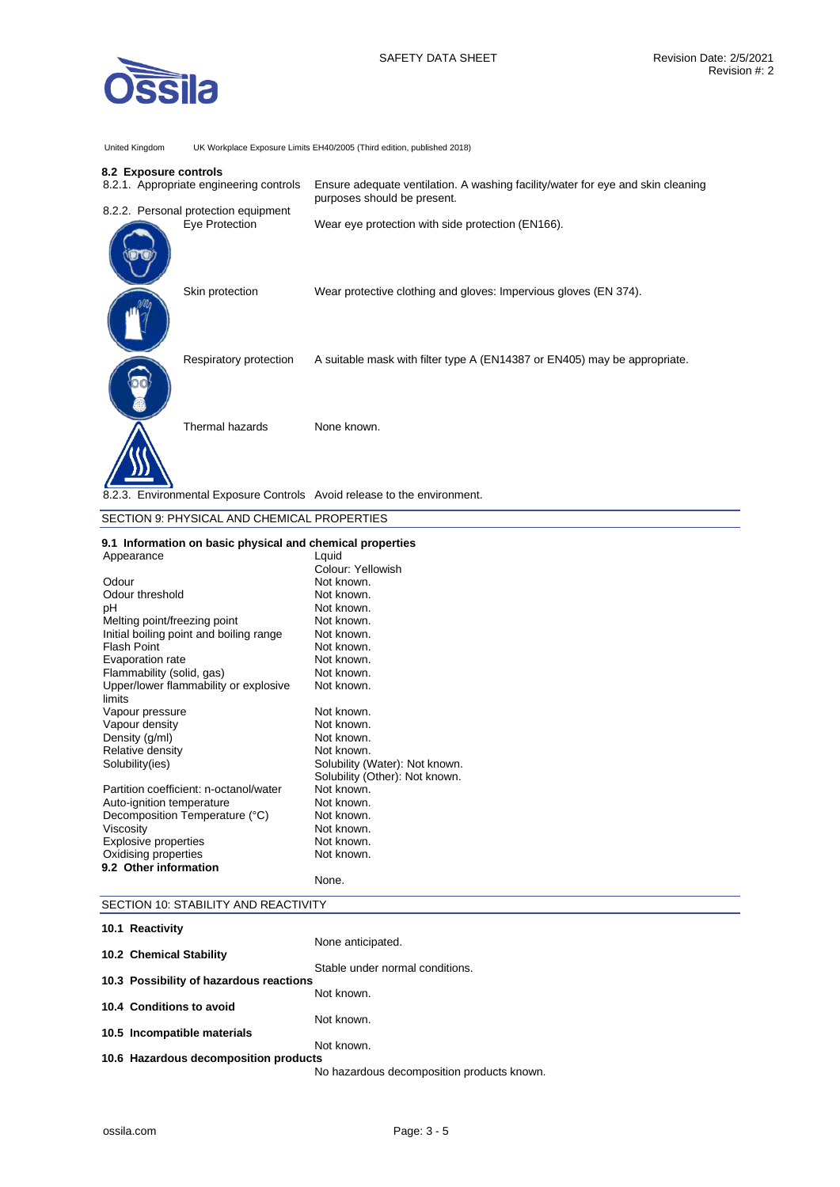United Kingdom UK Workplace Exposure Limits EH40/2005 (Third edition, published 2018)

### **8.2 Exposure controls**

| 8.2.1. Appropriate engineering controls                                  | Ensure adequate ventilation. A washing facility/water for eye and skin cleaning<br>purposes should be present. |
|--------------------------------------------------------------------------|----------------------------------------------------------------------------------------------------------------|
| 8.2.2. Personal protection equipment                                     |                                                                                                                |
| Eye Protection                                                           | Wear eye protection with side protection (EN166).                                                              |
| Skin protection                                                          | Wear protective clothing and gloves: Impervious gloves (EN 374).                                               |
| Respiratory protection                                                   | A suitable mask with filter type A (EN14387 or EN405) may be appropriate.                                      |
| Thermal hazards                                                          | None known.                                                                                                    |
| 8.2.3. Environmental Exposure Controls Avoid release to the environment. |                                                                                                                |

## SECTION 9: PHYSICAL AND CHEMICAL PROPERTIES

## **9.1 Information on basic physical and chemical properties**

| Appearance                              | Lquid                          |
|-----------------------------------------|--------------------------------|
|                                         | Colour: Yellowish              |
| Odour                                   | Not known.                     |
| Odour threshold                         | Not known.                     |
| рH                                      | Not known.                     |
| Melting point/freezing point            | Not known.                     |
| Initial boiling point and boiling range | Not known.                     |
| <b>Flash Point</b>                      | Not known.                     |
| Evaporation rate                        | Not known.                     |
| Flammability (solid, gas)               | Not known.                     |
| Upper/lower flammability or explosive   | Not known.                     |
| limits                                  |                                |
| Vapour pressure                         | Not known.                     |
| Vapour density                          | Not known.                     |
| Density (g/ml)                          | Not known.                     |
| Relative density                        | Not known.                     |
| Solubility(ies)                         | Solubility (Water): Not known. |
|                                         | Solubility (Other): Not known. |
| Partition coefficient: n-octanol/water  | Not known.                     |
| Auto-ignition temperature               | Not known.                     |
| Decomposition Temperature (°C)          | Not known.                     |
| Viscosity                               | Not known.                     |
| <b>Explosive properties</b>             | Not known.                     |
| Oxidising properties                    | Not known.                     |
| 9.2 Other information                   |                                |
|                                         | None.                          |

## SECTION 10: STABILITY AND REACTIVITY

| 10.1 Reactivity                         |                                            |
|-----------------------------------------|--------------------------------------------|
|                                         | None anticipated.                          |
| 10.2 Chemical Stability                 |                                            |
|                                         | Stable under normal conditions.            |
| 10.3 Possibility of hazardous reactions |                                            |
| 10.4 Conditions to avoid                | Not known.                                 |
|                                         | Not known.                                 |
| 10.5 Incompatible materials             |                                            |
|                                         | Not known.                                 |
| 10.6 Hazardous decomposition products   |                                            |
|                                         | No hazardous decomposition products known. |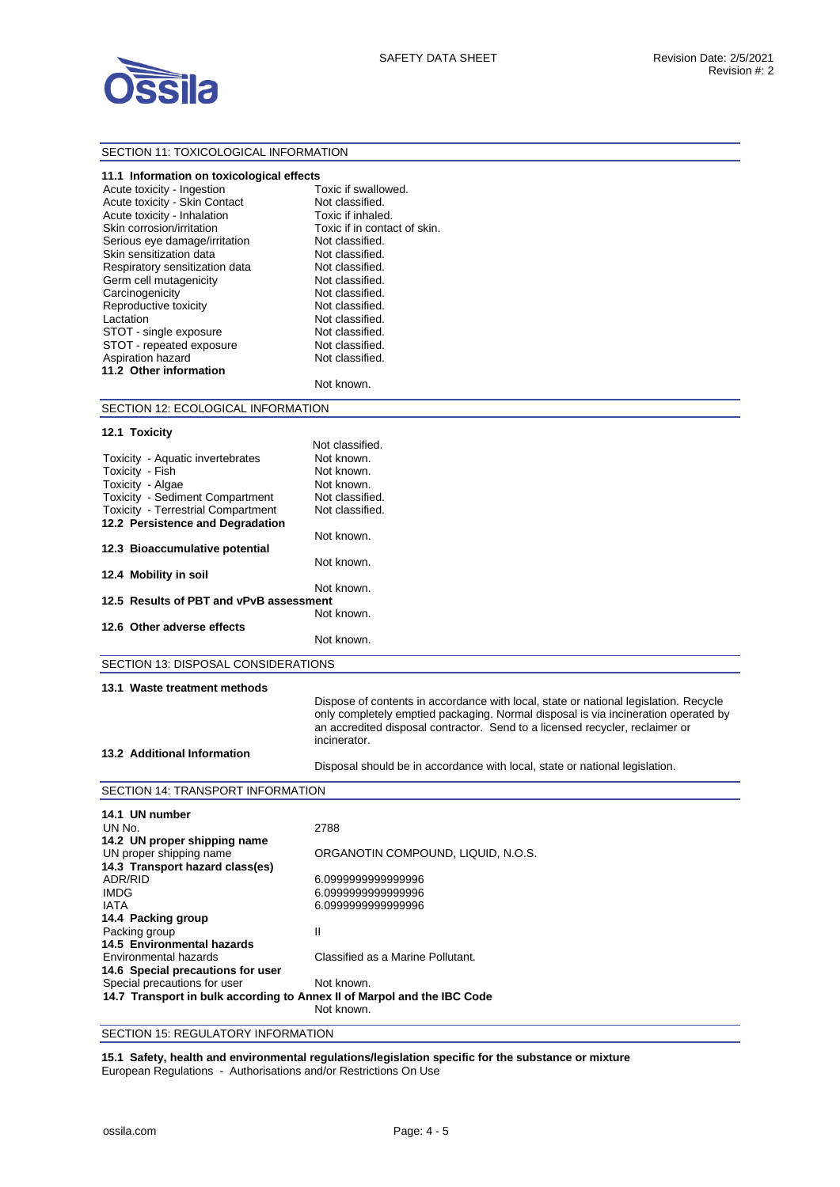

## SECTION 11: TOXICOLOGICAL INFORMATION

| 11.1 Information on toxicological effects |                              |
|-------------------------------------------|------------------------------|
| Acute toxicity - Ingestion                | Toxic if swallowed.          |
| Acute toxicity - Skin Contact             | Not classified.              |
| Acute toxicity - Inhalation               | Toxic if inhaled.            |
| Skin corrosion/irritation                 | Toxic if in contact of skin. |
| Serious eye damage/irritation             | Not classified.              |
| Skin sensitization data                   | Not classified.              |
| Respiratory sensitization data            | Not classified.              |
| Germ cell mutagenicity                    | Not classified.              |
| Carcinogenicity                           | Not classified.              |
| Reproductive toxicity                     | Not classified.              |
| Lactation                                 | Not classified.              |
| STOT - single exposure                    | Not classified.              |
| STOT - repeated exposure                  | Not classified.              |
| Aspiration hazard                         | Not classified.              |
| 11.2 Other information                    |                              |
|                                           | Not known.                   |
| SECTION 12: ECOLOGICAL INFORMATION        |                              |
| 12.1 Toxicity                             |                              |
|                                           | Not classified.              |
| Toxicity - Aquatic invertebrates          | Not known.                   |
| Toxicity - Fish                           | Not known.                   |
| Toxicity - Algae                          | Not known.                   |
| Toxicity - Sediment Compartment           | Not classified.              |
| Toxicity - Terrestrial Compartment        | Not classified.              |
| 40.0 Benefatorsee and Bennedatio          |                              |

| <b>TOAIOILY TUTTOOLIIGI OOITIPGI LITIOIIL</b> | non viuvuinvu. |
|-----------------------------------------------|----------------|
| 12.2 Persistence and Degradation              |                |
|                                               |                |
|                                               | Not known.     |
| 12.3 Bioaccumulative potential                |                |
|                                               |                |
|                                               | Not known.     |
|                                               |                |
| 12.4 Mobility in soil                         |                |
|                                               | Not known.     |
|                                               |                |
| 12.5 Results of PBT and vPvB assessment       |                |
|                                               | Not known.     |
|                                               |                |
| 12.6 Other adverse effects                    |                |
|                                               |                |
|                                               | Not known.     |
|                                               |                |

SECTION 13: DISPOSAL CONSIDERATIONS

#### **13.1 Waste treatment methods**

Dispose of contents in accordance with local, state or national legislation. Recycle only completely emptied packaging. Normal disposal is via incineration operated by an accredited disposal contractor. Send to a licensed recycler, reclaimer or incinerator.

### **13.2 Additional Information**

Disposal should be in accordance with local, state or national legislation.

#### SECTION 14: TRANSPORT INFORMATION

| 14.1 UN number                                                          |                                    |  |
|-------------------------------------------------------------------------|------------------------------------|--|
| UN No.                                                                  | 2788                               |  |
| 14.2 UN proper shipping name                                            |                                    |  |
| UN proper shipping name                                                 | ORGANOTIN COMPOUND. LIQUID. N.O.S. |  |
| 14.3 Transport hazard class(es)                                         |                                    |  |
| ADR/RID                                                                 | 6.099999999999996                  |  |
| <b>IMDG</b>                                                             | 6.099999999999996                  |  |
| <b>IATA</b>                                                             | 6.099999999999996                  |  |
| 14.4 Packing group                                                      |                                    |  |
| Packing group                                                           | Ш                                  |  |
| 14.5 Environmental hazards                                              |                                    |  |
| Environmental hazards                                                   | Classified as a Marine Pollutant.  |  |
| 14.6 Special precautions for user                                       |                                    |  |
| Special precautions for user                                            | Not known.                         |  |
| 14.7 Transport in bulk according to Annex II of Marpol and the IBC Code |                                    |  |
|                                                                         | Not known.                         |  |
|                                                                         |                                    |  |

SECTION 15: REGULATORY INFORMATION

**15.1 Safety, health and environmental regulations/legislation specific for the substance or mixture**  European Regulations - Authorisations and/or Restrictions On Use